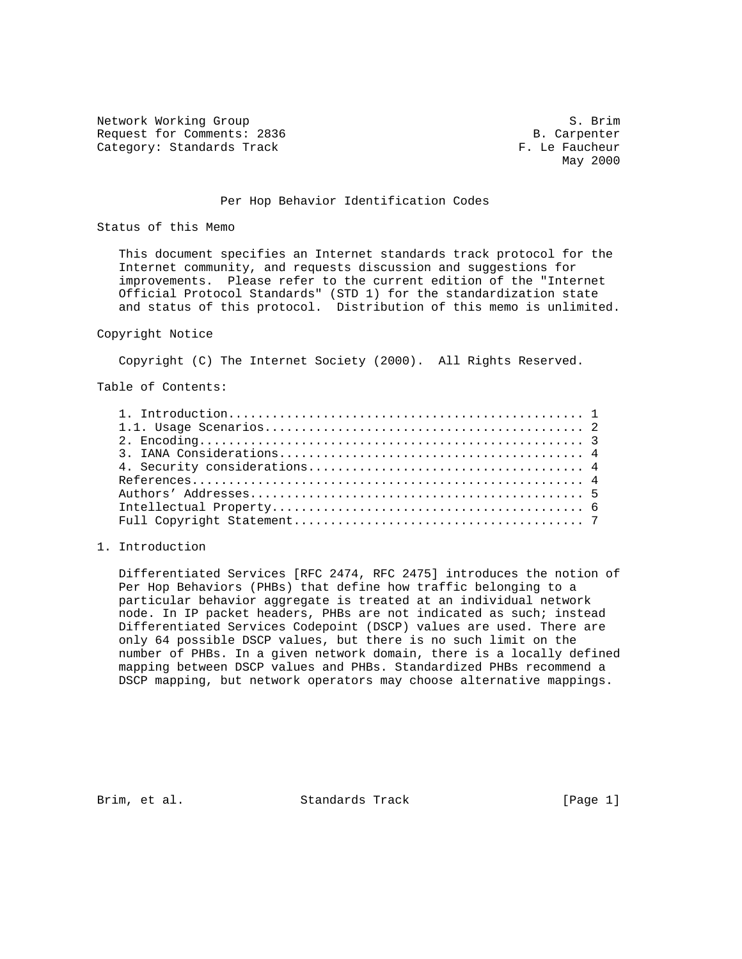Network Working Group S. Brim Request for Comments: 2836 B. Carpenter Category: Standards Track F. Le Faucheur

May 2000

#### Per Hop Behavior Identification Codes

Status of this Memo

 This document specifies an Internet standards track protocol for the Internet community, and requests discussion and suggestions for improvements. Please refer to the current edition of the "Internet Official Protocol Standards" (STD 1) for the standardization state and status of this protocol. Distribution of this memo is unlimited.

#### Copyright Notice

Copyright (C) The Internet Society (2000). All Rights Reserved.

Table of Contents:

# 1. Introduction

 Differentiated Services [RFC 2474, RFC 2475] introduces the notion of Per Hop Behaviors (PHBs) that define how traffic belonging to a particular behavior aggregate is treated at an individual network node. In IP packet headers, PHBs are not indicated as such; instead Differentiated Services Codepoint (DSCP) values are used. There are only 64 possible DSCP values, but there is no such limit on the number of PHBs. In a given network domain, there is a locally defined mapping between DSCP values and PHBs. Standardized PHBs recommend a DSCP mapping, but network operators may choose alternative mappings.

Brim, et al. Standards Track [Page 1]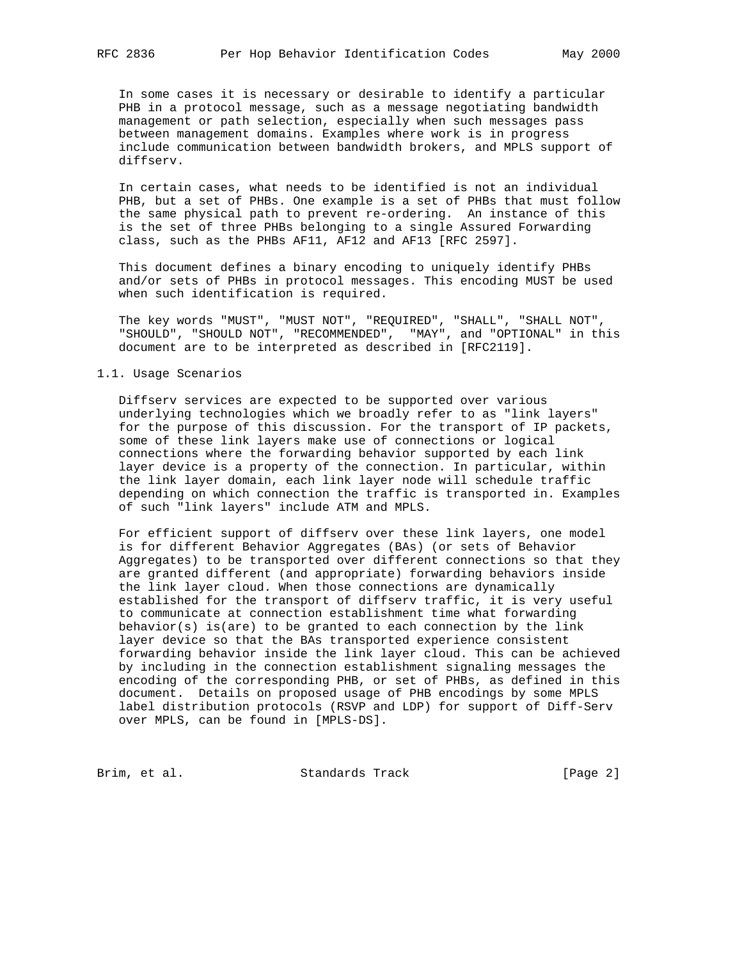In some cases it is necessary or desirable to identify a particular PHB in a protocol message, such as a message negotiating bandwidth management or path selection, especially when such messages pass between management domains. Examples where work is in progress include communication between bandwidth brokers, and MPLS support of diffserv.

 In certain cases, what needs to be identified is not an individual PHB, but a set of PHBs. One example is a set of PHBs that must follow the same physical path to prevent re-ordering. An instance of this is the set of three PHBs belonging to a single Assured Forwarding class, such as the PHBs AF11, AF12 and AF13 [RFC 2597].

 This document defines a binary encoding to uniquely identify PHBs and/or sets of PHBs in protocol messages. This encoding MUST be used when such identification is required.

 The key words "MUST", "MUST NOT", "REQUIRED", "SHALL", "SHALL NOT", "SHOULD", "SHOULD NOT", "RECOMMENDED", "MAY", and "OPTIONAL" in this document are to be interpreted as described in [RFC2119].

# 1.1. Usage Scenarios

 Diffserv services are expected to be supported over various underlying technologies which we broadly refer to as "link layers" for the purpose of this discussion. For the transport of IP packets, some of these link layers make use of connections or logical connections where the forwarding behavior supported by each link layer device is a property of the connection. In particular, within the link layer domain, each link layer node will schedule traffic depending on which connection the traffic is transported in. Examples of such "link layers" include ATM and MPLS.

 For efficient support of diffserv over these link layers, one model is for different Behavior Aggregates (BAs) (or sets of Behavior Aggregates) to be transported over different connections so that they are granted different (and appropriate) forwarding behaviors inside the link layer cloud. When those connections are dynamically established for the transport of diffserv traffic, it is very useful to communicate at connection establishment time what forwarding behavior(s) is(are) to be granted to each connection by the link layer device so that the BAs transported experience consistent forwarding behavior inside the link layer cloud. This can be achieved by including in the connection establishment signaling messages the encoding of the corresponding PHB, or set of PHBs, as defined in this document. Details on proposed usage of PHB encodings by some MPLS label distribution protocols (RSVP and LDP) for support of Diff-Serv over MPLS, can be found in [MPLS-DS].

Brim, et al. Standards Track [Page 2]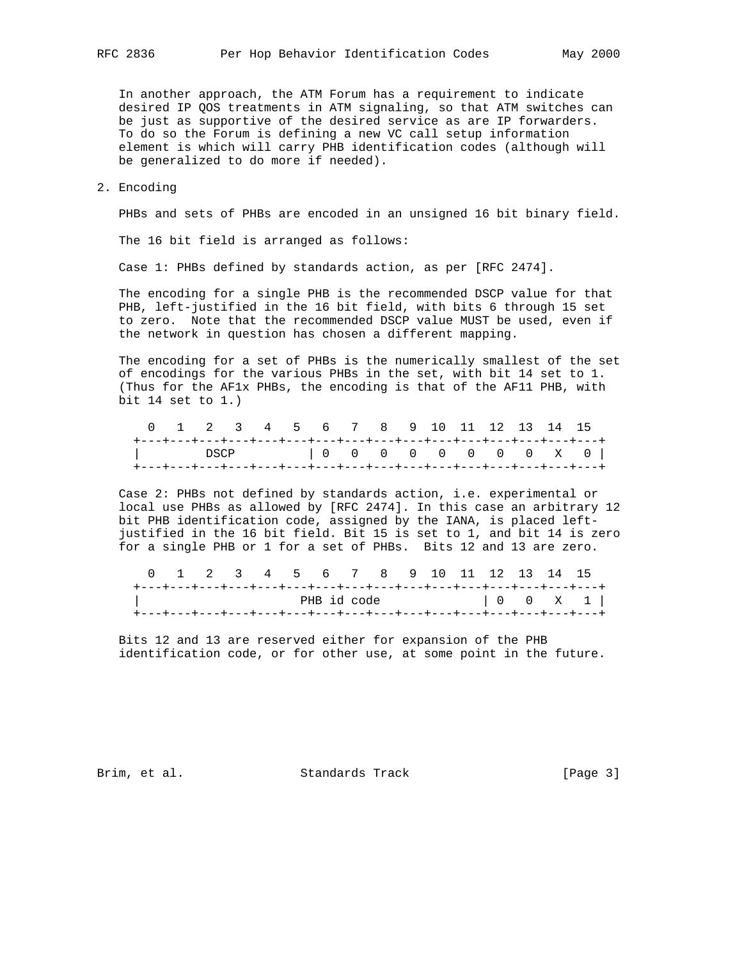In another approach, the ATM Forum has a requirement to indicate desired IP QOS treatments in ATM signaling, so that ATM switches can be just as supportive of the desired service as are IP forwarders. To do so the Forum is defining a new VC call setup information element is which will carry PHB identification codes (although will be generalized to do more if needed).

#### 2. Encoding

PHBs and sets of PHBs are encoded in an unsigned 16 bit binary field.

The 16 bit field is arranged as follows:

Case 1: PHBs defined by standards action, as per [RFC 2474].

 The encoding for a single PHB is the recommended DSCP value for that PHB, left-justified in the 16 bit field, with bits 6 through 15 set to zero. Note that the recommended DSCP value MUST be used, even if the network in question has chosen a different mapping.

 The encoding for a set of PHBs is the numerically smallest of the set of encodings for the various PHBs in the set, with bit 14 set to 1. (Thus for the AF1x PHBs, the encoding is that of the AF11 PHB, with bit 14 set to 1.)

|  |  |  |  | 0 1 2 3 4 5 6 7 8 9 10 11 12 13 14 15 |  |  |  |                                                                   |
|--|--|--|--|---------------------------------------|--|--|--|-------------------------------------------------------------------|
|  |  |  |  |                                       |  |  |  |                                                                   |
|  |  |  |  |                                       |  |  |  | DSCP   0 0 0 0 0 0 0 0 x 0                                        |
|  |  |  |  |                                       |  |  |  | +---+---+---+---+---+---+---+---+---+---+---+---+---+---+---+---+ |

 Case 2: PHBs not defined by standards action, i.e. experimental or local use PHBs as allowed by [RFC 2474]. In this case an arbitrary 12 bit PHB identification code, assigned by the IANA, is placed left justified in the 16 bit field. Bit 15 is set to 1, and bit 14 is zero for a single PHB or 1 for a set of PHBs. Bits 12 and 13 are zero.

|  |  |  | 0 1 2 3 4 5 6 7 8 9 10 11 12 13 14 15 |  |  |  |  |                                                                       |
|--|--|--|---------------------------------------|--|--|--|--|-----------------------------------------------------------------------|
|  |  |  |                                       |  |  |  |  | +---+---+---+---+---+---+---+---+---+---+---+---+---+---+---+---+---+ |
|  |  |  |                                       |  |  |  |  |                                                                       |
|  |  |  |                                       |  |  |  |  | +---+---+---+---+---+---+---+---+---+---+---+---+---+---+---+---+---+ |

 Bits 12 and 13 are reserved either for expansion of the PHB identification code, or for other use, at some point in the future.

Brim, et al. Standards Track [Page 3]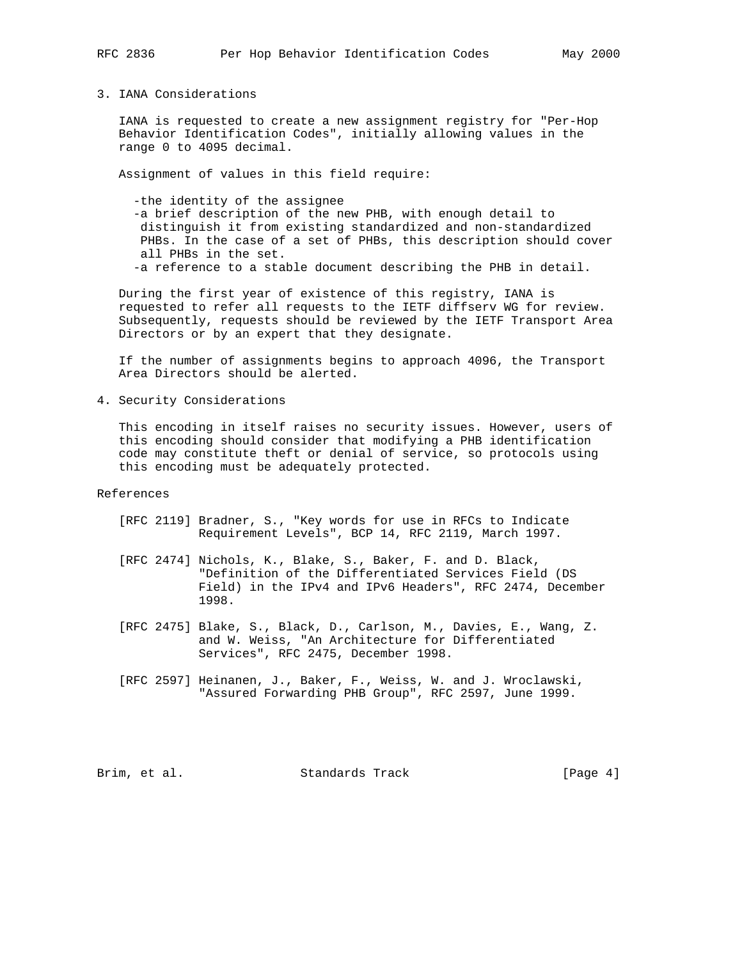3. IANA Considerations

 IANA is requested to create a new assignment registry for "Per-Hop Behavior Identification Codes", initially allowing values in the range 0 to 4095 decimal.

Assignment of values in this field require:

 -the identity of the assignee -a brief description of the new PHB, with enough detail to distinguish it from existing standardized and non-standardized PHBs. In the case of a set of PHBs, this description should cover all PHBs in the set. -a reference to a stable document describing the PHB in detail.

 During the first year of existence of this registry, IANA is requested to refer all requests to the IETF diffserv WG for review. Subsequently, requests should be reviewed by the IETF Transport Area Directors or by an expert that they designate.

 If the number of assignments begins to approach 4096, the Transport Area Directors should be alerted.

4. Security Considerations

 This encoding in itself raises no security issues. However, users of this encoding should consider that modifying a PHB identification code may constitute theft or denial of service, so protocols using this encoding must be adequately protected.

References

- [RFC 2119] Bradner, S., "Key words for use in RFCs to Indicate Requirement Levels", BCP 14, RFC 2119, March 1997.
- [RFC 2474] Nichols, K., Blake, S., Baker, F. and D. Black, "Definition of the Differentiated Services Field (DS Field) in the IPv4 and IPv6 Headers", RFC 2474, December 1998.
- [RFC 2475] Blake, S., Black, D., Carlson, M., Davies, E., Wang, Z. and W. Weiss, "An Architecture for Differentiated Services", RFC 2475, December 1998.
- [RFC 2597] Heinanen, J., Baker, F., Weiss, W. and J. Wroclawski, "Assured Forwarding PHB Group", RFC 2597, June 1999.

Brim, et al. Standards Track [Page 4]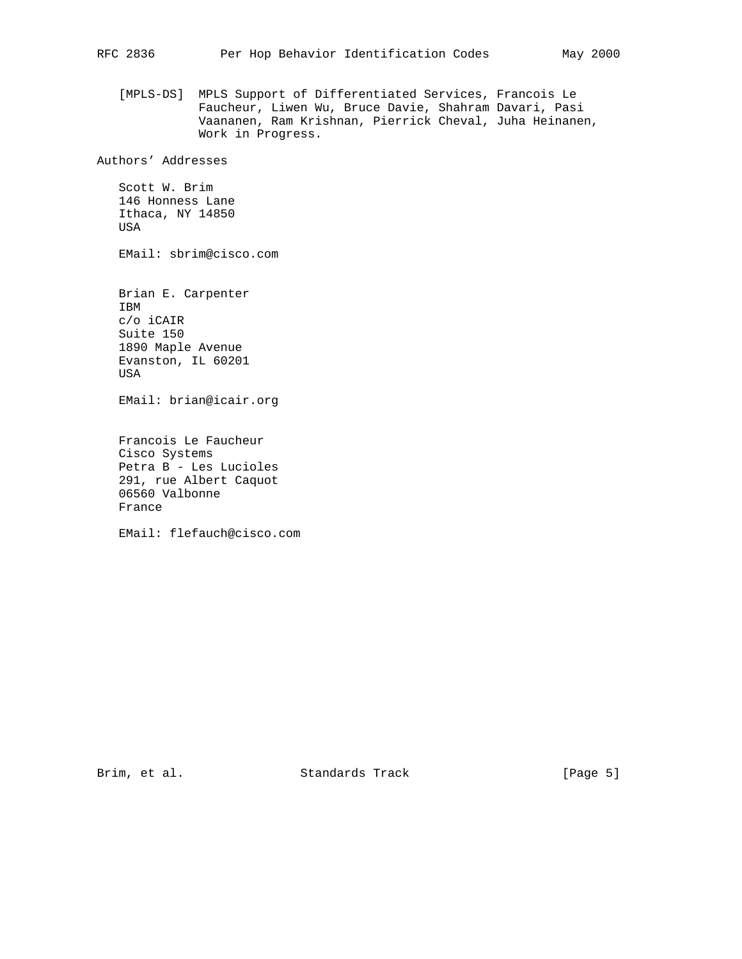[MPLS-DS] MPLS Support of Differentiated Services, Francois Le Faucheur, Liwen Wu, Bruce Davie, Shahram Davari, Pasi Vaananen, Ram Krishnan, Pierrick Cheval, Juha Heinanen, Work in Progress.

Authors' Addresses

 Scott W. Brim 146 Honness Lane Ithaca, NY 14850 USA

EMail: sbrim@cisco.com

 Brian E. Carpenter IBM c/o iCAIR Suite 150 1890 Maple Avenue Evanston, IL 60201 USA

EMail: brian@icair.org

 Francois Le Faucheur Cisco Systems Petra B - Les Lucioles 291, rue Albert Caquot 06560 Valbonne France

EMail: flefauch@cisco.com

Brim, et al. Standards Track [Page 5]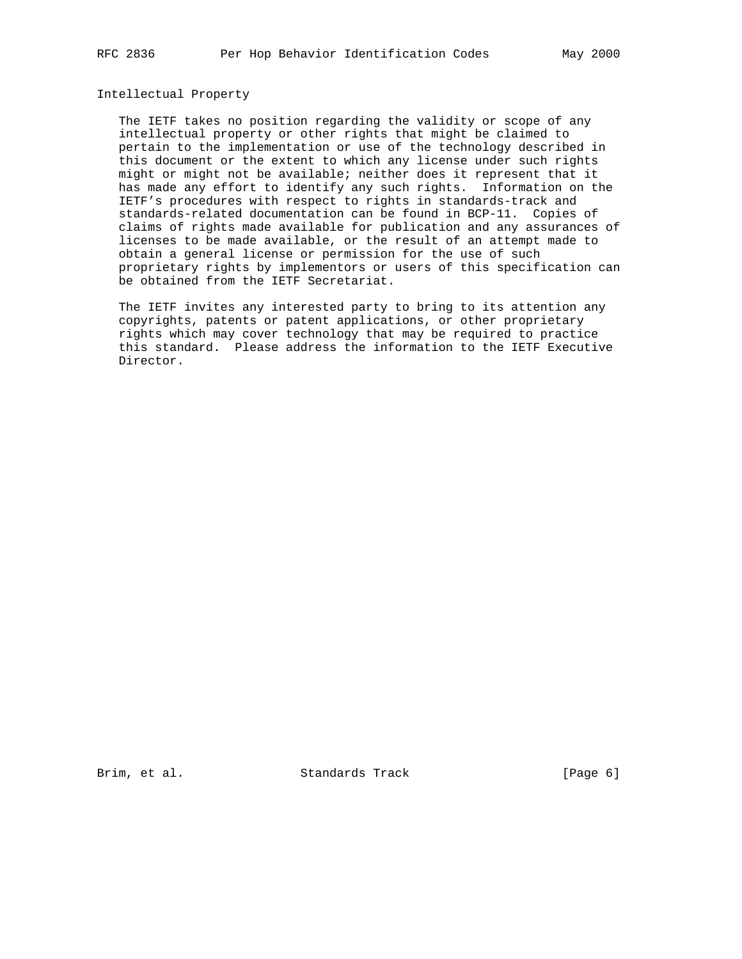# Intellectual Property

 The IETF takes no position regarding the validity or scope of any intellectual property or other rights that might be claimed to pertain to the implementation or use of the technology described in this document or the extent to which any license under such rights might or might not be available; neither does it represent that it has made any effort to identify any such rights. Information on the IETF's procedures with respect to rights in standards-track and standards-related documentation can be found in BCP-11. Copies of claims of rights made available for publication and any assurances of licenses to be made available, or the result of an attempt made to obtain a general license or permission for the use of such proprietary rights by implementors or users of this specification can be obtained from the IETF Secretariat.

 The IETF invites any interested party to bring to its attention any copyrights, patents or patent applications, or other proprietary rights which may cover technology that may be required to practice this standard. Please address the information to the IETF Executive Director.

Brim, et al. Standards Track [Page 6]